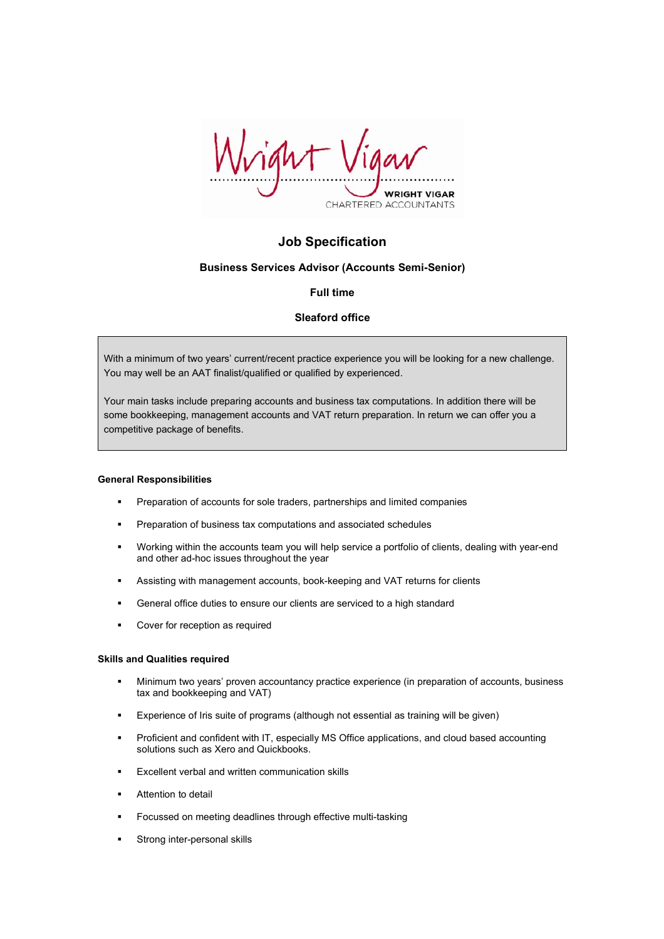

# **Job Specification**

# **Business Services Advisor (Accounts Semi-Senior)**

# **Full time**

# **Sleaford office**

With a minimum of two years' current/recent practice experience you will be looking for a new challenge. You may well be an AAT finalist/qualified or qualified by experienced.

Your main tasks include preparing accounts and business tax computations. In addition there will be some bookkeeping, management accounts and VAT return preparation. In return we can offer you a competitive package of benefits.

#### **General Responsibilities**

- **Preparation of accounts for sole traders, partnerships and limited companies**
- **Preparation of business tax computations and associated schedules**
- Working within the accounts team you will help service a portfolio of clients, dealing with year-end and other ad-hoc issues throughout the year
- Assisting with management accounts, book-keeping and VAT returns for clients
- General office duties to ensure our clients are serviced to a high standard
- **•** Cover for reception as required

#### **Skills and Qualities required**

- Minimum two years' proven accountancy practice experience (in preparation of accounts, business tax and bookkeeping and VAT)
- Experience of Iris suite of programs (although not essential as training will be given)
- Proficient and confident with IT, especially MS Office applications, and cloud based accounting solutions such as Xero and Quickbooks.
- **Excellent verbal and written communication skills**
- Attention to detail
- Focussed on meeting deadlines through effective multi-tasking
- Strong inter-personal skills